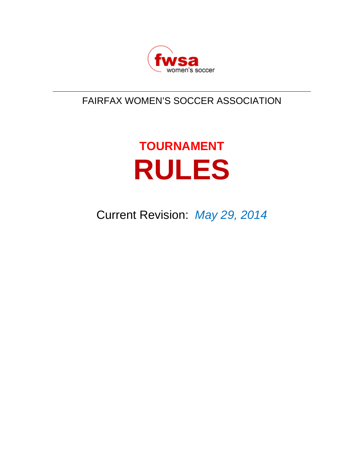

# FAIRFAX WOMEN'S SOCCER ASSOCIATION

# **TOURNAMENT RULES**

Current Revision: *May 29, 2014*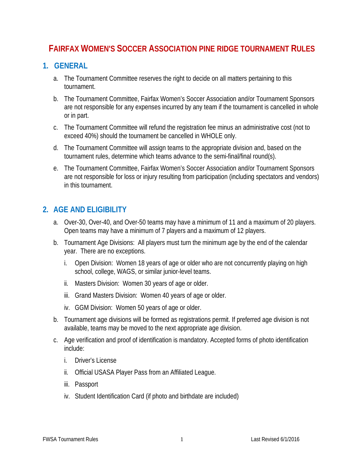# **FAIRFAX WOMEN'S SOCCER ASSOCIATION PINE RIDGE TOURNAMENT RULES**

#### **1. GENERAL**

- a. The Tournament Committee reserves the right to decide on all matters pertaining to this tournament.
- b. The Tournament Committee, Fairfax Women's Soccer Association and/or Tournament Sponsors are not responsible for any expenses incurred by any team if the tournament is cancelled in whole or in part.
- c. The Tournament Committee will refund the registration fee minus an administrative cost (not to exceed 40%) should the tournament be cancelled in WHOLE only.
- d. The Tournament Committee will assign teams to the appropriate division and, based on the tournament rules, determine which teams advance to the semi-final/final round(s).
- e. The Tournament Committee, Fairfax Women's Soccer Association and/or Tournament Sponsors are not responsible for loss or injury resulting from participation (including spectators and vendors) in this tournament.

#### **2. AGE AND ELIGIBILITY**

- a. Over-30, Over-40, and Over-50 teams may have a minimum of 11 and a maximum of 20 players. Open teams may have a minimum of 7 players and a maximum of 12 players.
- b. Tournament Age Divisions: All players must turn the minimum age by the end of the calendar year. There are no exceptions.
	- i. Open Division: Women 18 years of age or older who are not concurrently playing on high school, college, WAGS, or similar junior-level teams.
	- ii. Masters Division: Women 30 years of age or older.
	- iii. Grand Masters Division: Women 40 years of age or older.
	- iv. GGM Division: Women 50 years of age or older.
- b. Tournament age divisions will be formed as registrations permit. If preferred age division is not available, teams may be moved to the next appropriate age division.
- c. Age verification and proof of identification is mandatory. Accepted forms of photo identification include:
	- i. Driver's License
	- ii. Official USASA Player Pass from an Affiliated League.
	- iii. Passport
	- iv. Student Identification Card (if photo and birthdate are included)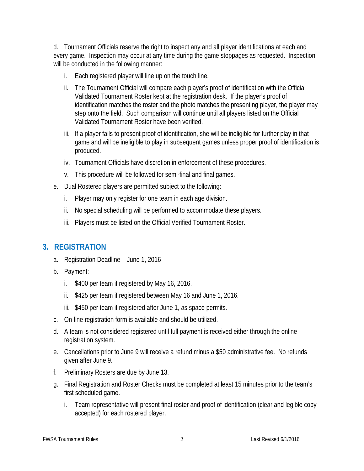d. Tournament Officials reserve the right to inspect any and all player identifications at each and every game. Inspection may occur at any time during the game stoppages as requested. Inspection will be conducted in the following manner:

- i. Each registered player will line up on the touch line.
- ii. The Tournament Official will compare each player's proof of identification with the Official Validated Tournament Roster kept at the registration desk. If the player's proof of identification matches the roster and the photo matches the presenting player, the player may step onto the field. Such comparison will continue until all players listed on the Official Validated Tournament Roster have been verified.
- iii. If a player fails to present proof of identification, she will be ineligible for further play in that game and will be ineligible to play in subsequent games unless proper proof of identification is produced.
- iv. Tournament Officials have discretion in enforcement of these procedures.
- v. This procedure will be followed for semi-final and final games.
- e. Dual Rostered players are permitted subject to the following:
	- i. Player may only register for one team in each age division.
	- ii. No special scheduling will be performed to accommodate these players.
	- iii. Players must be listed on the Official Verified Tournament Roster.

#### **3. REGISTRATION**

- a. Registration Deadline June 1, 2016
- b. Payment:
	- i. \$400 per team if registered by May 16, 2016.
	- ii. \$425 per team if registered between May 16 and June 1, 2016.
	- iii. \$450 per team if registered after June 1, as space permits.
- c. On-line registration form is available and should be utilized.
- d. A team is not considered registered until full payment is received either through the online registration system.
- e. Cancellations prior to June 9 will receive a refund minus a \$50 administrative fee. No refunds given after June 9.
- f. Preliminary Rosters are due by June 13.
- g. Final Registration and Roster Checks must be completed at least 15 minutes prior to the team's first scheduled game.
	- i. Team representative will present final roster and proof of identification (clear and legible copy accepted) for each rostered player.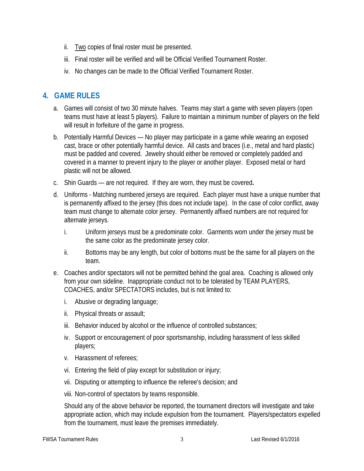- ii. Two copies of final roster must be presented.
- iii. Final roster will be verified and will be Official Verified Tournament Roster.
- iv. No changes can be made to the Official Verified Tournament Roster.

# **4. GAME RULES**

- a. Games will consist of two 30 minute halves. Teams may start a game with seven players (open teams must have at least 5 players). Failure to maintain a minimum number of players on the field will result in forfeiture of the game in progress.
- b. Potentially Harmful Devices No player may participate in a game while wearing an exposed cast, brace or other potentially harmful device. All casts and braces (i.e., metal and hard plastic) must be padded and covered. Jewelry should either be removed or completely padded and covered in a manner to prevent injury to the player or another player. Exposed metal or hard plastic will not be allowed.
- c. Shin Guards are not required. If they are worn, they must be covered**.**
- d. Uniforms Matching numbered jerseys are required. Each player must have a unique number that is permanently affixed to the jersey (this does not include tape). In the case of color conflict, away team must change to alternate color jersey. Permanently affixed numbers are not required for alternate jerseys.
	- i. Uniform jerseys must be a predominate color. Garments worn under the jersey must be the same color as the predominate jersey color.
	- ii. Bottoms may be any length, but color of bottoms must be the same for all players on the team.
- e. Coaches and/or spectators will not be permitted behind the goal area. Coaching is allowed only from your own sideline. Inappropriate conduct not to be tolerated by TEAM PLAYERS, COACHES, and/or SPECTATORS includes, but is not limited to:
	- i. Abusive or degrading language;
	- ii. Physical threats or assault;
	- iii. Behavior induced by alcohol or the influence of controlled substances;
	- iv. Support or encouragement of poor sportsmanship, including harassment of less skilled players;
	- v. Harassment of referees;
	- vi. Entering the field of play except for substitution or injury;
	- vii. Disputing or attempting to influence the referee's decision; and
	- viii. Non-control of spectators by teams responsible.

Should any of the above behavior be reported, the tournament directors will investigate and take appropriate action, which may include expulsion from the tournament. Players/spectators expelled from the tournament, must leave the premises immediately.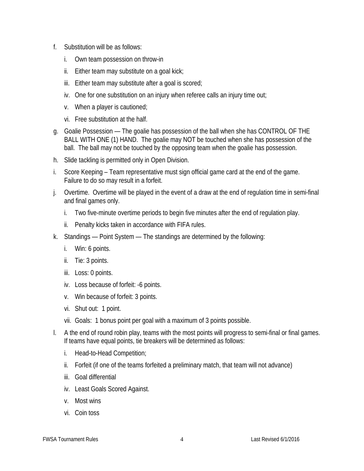- f. Substitution will be as follows:
	- i. Own team possession on throw-in
	- ii. Either team may substitute on a goal kick;
	- iii. Either team may substitute after a goal is scored;
	- iv. One for one substitution on an injury when referee calls an injury time out;
	- v. When a player is cautioned;
	- vi. Free substitution at the half.
- g. Goalie Possession The goalie has possession of the ball when she has CONTROL OF THE BALL WITH ONE (1) HAND. The goalie may NOT be touched when she has possession of the ball. The ball may not be touched by the opposing team when the goalie has possession.
- h. Slide tackling is permitted only in Open Division.
- i. Score Keeping Team representative must sign official game card at the end of the game. Failure to do so may result in a forfeit.
- j. Overtime. Overtime will be played in the event of a draw at the end of regulation time in semi-final and final games only.
	- i. Two five-minute overtime periods to begin five minutes after the end of regulation play.
	- ii. Penalty kicks taken in accordance with FIFA rules.
- k. Standings Point System The standings are determined by the following:
	- i. Win: 6 points.
	- ii. Tie: 3 points.
	- iii. Loss: 0 points.
	- iv. Loss because of forfeit: -6 points.
	- v. Win because of forfeit: 3 points.
	- vi. Shut out: 1 point.
	- vii. Goals: 1 bonus point per goal with a maximum of 3 points possible.
- l. A the end of round robin play, teams with the most points will progress to semi-final or final games. If teams have equal points, tie breakers will be determined as follows:
	- i. Head-to-Head Competition;
	- ii. Forfeit (if one of the teams forfeited a preliminary match, that team will not advance)
	- iii. Goal differential
	- iv. Least Goals Scored Against.
	- v. Most wins
	- vi. Coin toss